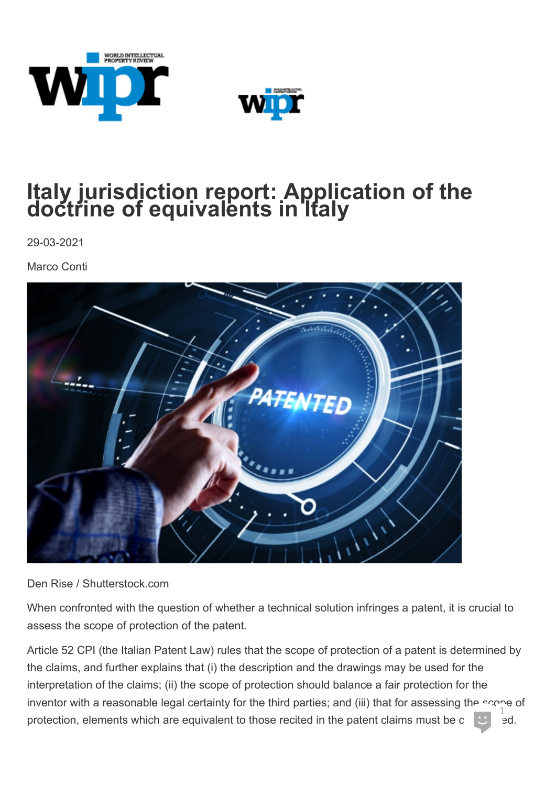



## **Italy jurisdiction report: Application of the doctrine of equivalents in Italy**

29-03-2021

Marco Conti



Den Rise / Shutterstock.com

When confronted with the question of whether a technical solution infringes a patent, it is crucial to assess the scope of protection of the patent.

Article 52 CPI (the Italian Patent Law) rules that the scope of protection of a patent is determined by the claims, and further explains that (i) the description and the drawings may be used for the interpretation of the claims; (ii) the scope of protection should balance a fair protection for the inventor with a reasonable legal certainty for the third parties; and (iii) that for assessing the scope of  $\frac{1}{1}$ protection, elements which are equivalent to those recited in the patent claims must be c  $\begin{bmatrix} \bullet & \bullet \\ \bullet & \bullet \end{bmatrix}$  ed.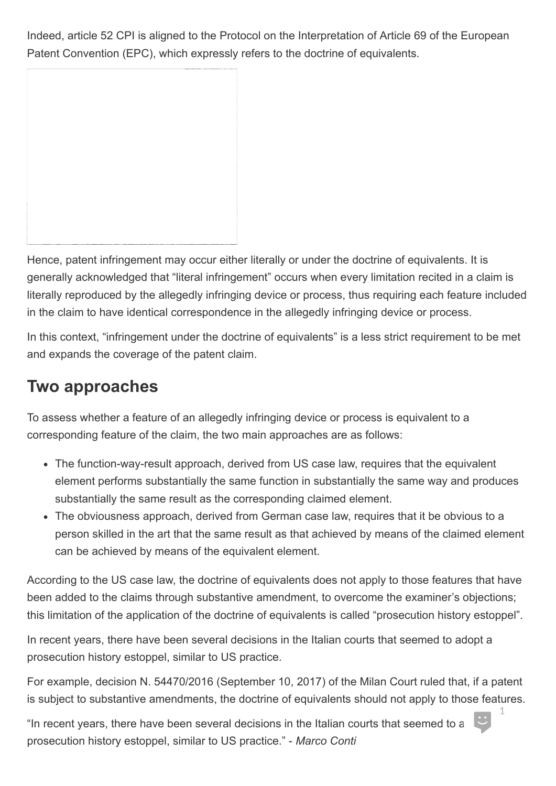Indeed, article 52 CPI is aligned to the Protocol on the Interpretation of Article 69 of the European Patent Convention (EPC), which expressly refers to the doctrine of equivalents.

Hence, patent infringement may occur either literally or under the doctrine of equivalents. It is generally acknowledged that "literal infringement" occurs when every limitation recited in a claim is literally reproduced by the allegedly infringing device or process, thus requiring each feature included in the claim to have identical correspondence in the allegedly infringing device or process.

In this context, "infringement under the doctrine of equivalents" is a less strict requirement to be met and expands the coverage of the patent claim.

## **Two approaches**

To assess whether a feature of an allegedly infringing device or process is equivalent to a corresponding feature of the claim, the two main approaches are as follows:

- The function-way-result approach, derived from US case law, requires that the equivalent element performs substantially the same function in substantially the same way and produces substantially the same result as the corresponding claimed element.
- The obviousness approach, derived from German case law, requires that it be obvious to a person skilled in the art that the same result as that achieved by means of the claimed element can be achieved by means of the equivalent element.

According to the US case law, the doctrine of equivalents does not apply to those features that have been added to the claims through substantive amendment, to overcome the examiner's objections; this limitation of the application of the doctrine of equivalents is called "prosecution history estoppel".

In recent years, there have been several decisions in the Italian courts that seemed to adopt a prosecution history estoppel, similar to US practice.

For example, decision N. 54470/2016 (September 10, 2017) of the Milan Court ruled that, if a patent is subject to substantive amendments, the doctrine of equivalents should not apply to those features.

"In recent years, there have been several decisions in the Italian courts that seemed to a prosecution history estoppel, similar to US practice." - *Marco Conti*